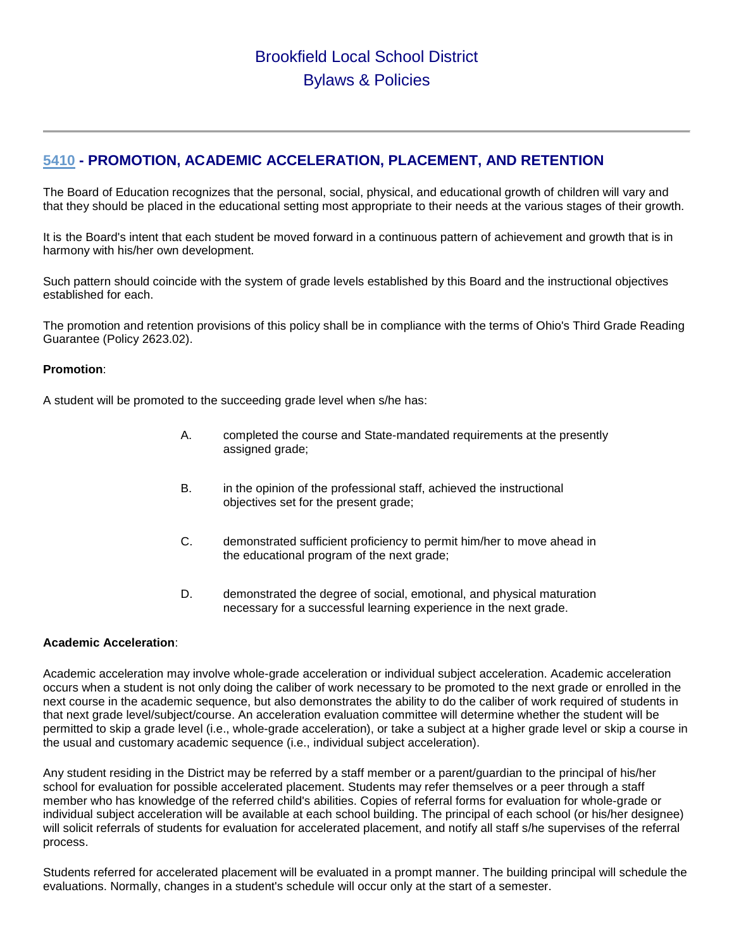## **[5410](http://www.neola.com/brookfield-oh/search/ag/ag5410.htm) - PROMOTION, ACADEMIC ACCELERATION, PLACEMENT, AND RETENTION**

The Board of Education recognizes that the personal, social, physical, and educational growth of children will vary and that they should be placed in the educational setting most appropriate to their needs at the various stages of their growth.

It is the Board's intent that each student be moved forward in a continuous pattern of achievement and growth that is in harmony with his/her own development.

Such pattern should coincide with the system of grade levels established by this Board and the instructional objectives established for each.

The promotion and retention provisions of this policy shall be in compliance with the terms of Ohio's Third Grade Reading Guarantee (Policy 2623.02).

## **Promotion**:

A student will be promoted to the succeeding grade level when s/he has:

- A. completed the course and State-mandated requirements at the presently assigned grade;
- B. in the opinion of the professional staff, achieved the instructional objectives set for the present grade;
- C. demonstrated sufficient proficiency to permit him/her to move ahead in the educational program of the next grade;
- D. demonstrated the degree of social, emotional, and physical maturation necessary for a successful learning experience in the next grade.

## **Academic Acceleration**:

Academic acceleration may involve whole-grade acceleration or individual subject acceleration. Academic acceleration occurs when a student is not only doing the caliber of work necessary to be promoted to the next grade or enrolled in the next course in the academic sequence, but also demonstrates the ability to do the caliber of work required of students in that next grade level/subject/course. An acceleration evaluation committee will determine whether the student will be permitted to skip a grade level (i.e., whole-grade acceleration), or take a subject at a higher grade level or skip a course in the usual and customary academic sequence (i.e., individual subject acceleration).

Any student residing in the District may be referred by a staff member or a parent/guardian to the principal of his/her school for evaluation for possible accelerated placement. Students may refer themselves or a peer through a staff member who has knowledge of the referred child's abilities. Copies of referral forms for evaluation for whole-grade or individual subject acceleration will be available at each school building. The principal of each school (or his/her designee) will solicit referrals of students for evaluation for accelerated placement, and notify all staff s/he supervises of the referral process.

Students referred for accelerated placement will be evaluated in a prompt manner. The building principal will schedule the evaluations. Normally, changes in a student's schedule will occur only at the start of a semester.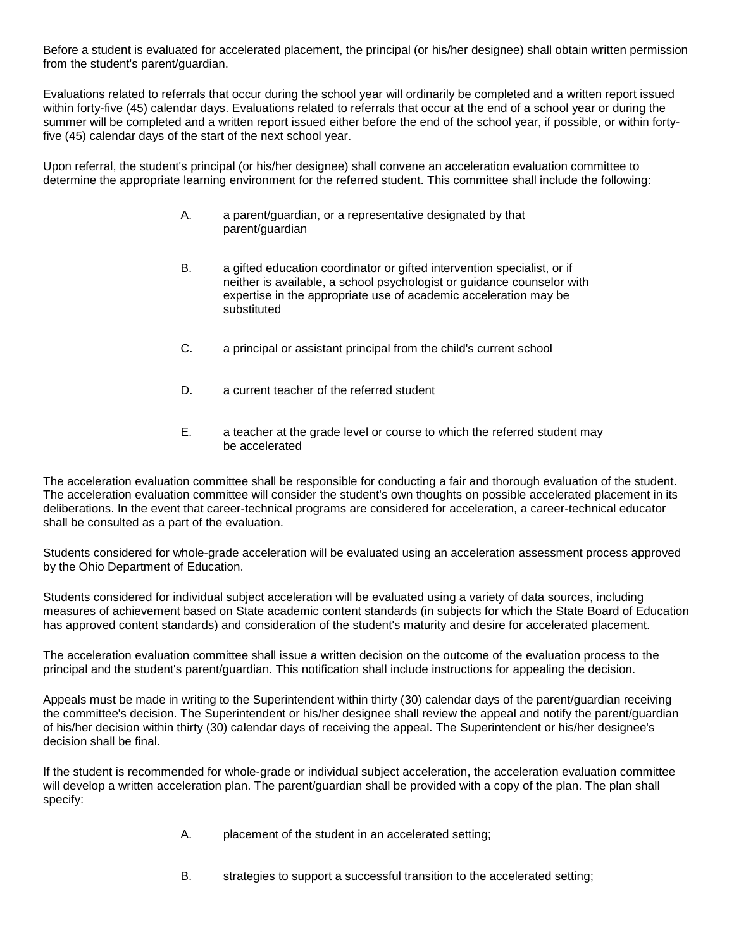Before a student is evaluated for accelerated placement, the principal (or his/her designee) shall obtain written permission from the student's parent/guardian.

Evaluations related to referrals that occur during the school year will ordinarily be completed and a written report issued within forty-five (45) calendar days. Evaluations related to referrals that occur at the end of a school year or during the summer will be completed and a written report issued either before the end of the school year, if possible, or within fortyfive (45) calendar days of the start of the next school year.

Upon referral, the student's principal (or his/her designee) shall convene an acceleration evaluation committee to determine the appropriate learning environment for the referred student. This committee shall include the following:

- A. a parent/guardian, or a representative designated by that parent/guardian
- B. a gifted education coordinator or gifted intervention specialist, or if neither is available, a school psychologist or guidance counselor with expertise in the appropriate use of academic acceleration may be substituted
- C. a principal or assistant principal from the child's current school
- D. a current teacher of the referred student
- E. a teacher at the grade level or course to which the referred student may be accelerated

The acceleration evaluation committee shall be responsible for conducting a fair and thorough evaluation of the student. The acceleration evaluation committee will consider the student's own thoughts on possible accelerated placement in its deliberations. In the event that career-technical programs are considered for acceleration, a career-technical educator shall be consulted as a part of the evaluation.

Students considered for whole-grade acceleration will be evaluated using an acceleration assessment process approved by the Ohio Department of Education.

Students considered for individual subject acceleration will be evaluated using a variety of data sources, including measures of achievement based on State academic content standards (in subjects for which the State Board of Education has approved content standards) and consideration of the student's maturity and desire for accelerated placement.

The acceleration evaluation committee shall issue a written decision on the outcome of the evaluation process to the principal and the student's parent/guardian. This notification shall include instructions for appealing the decision.

Appeals must be made in writing to the Superintendent within thirty (30) calendar days of the parent/guardian receiving the committee's decision. The Superintendent or his/her designee shall review the appeal and notify the parent/guardian of his/her decision within thirty (30) calendar days of receiving the appeal. The Superintendent or his/her designee's decision shall be final.

If the student is recommended for whole-grade or individual subject acceleration, the acceleration evaluation committee will develop a written acceleration plan. The parent/guardian shall be provided with a copy of the plan. The plan shall specify:

- A. placement of the student in an accelerated setting;
- B. strategies to support a successful transition to the accelerated setting;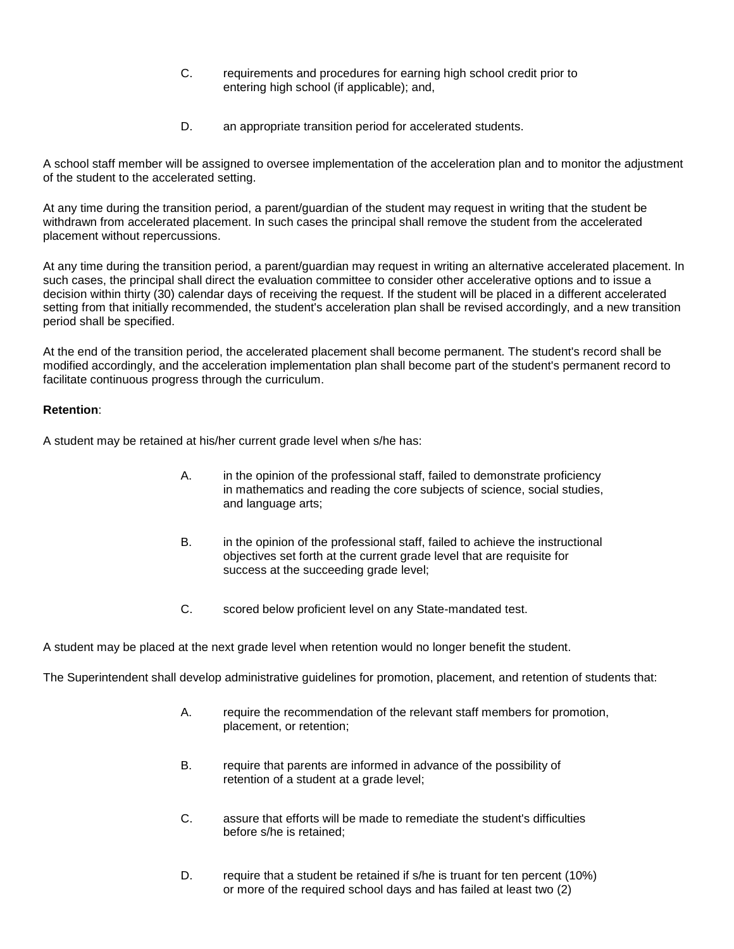- C. requirements and procedures for earning high school credit prior to entering high school (if applicable); and,
- D. an appropriate transition period for accelerated students.

A school staff member will be assigned to oversee implementation of the acceleration plan and to monitor the adjustment of the student to the accelerated setting.

At any time during the transition period, a parent/guardian of the student may request in writing that the student be withdrawn from accelerated placement. In such cases the principal shall remove the student from the accelerated placement without repercussions.

At any time during the transition period, a parent/guardian may request in writing an alternative accelerated placement. In such cases, the principal shall direct the evaluation committee to consider other accelerative options and to issue a decision within thirty (30) calendar days of receiving the request. If the student will be placed in a different accelerated setting from that initially recommended, the student's acceleration plan shall be revised accordingly, and a new transition period shall be specified.

At the end of the transition period, the accelerated placement shall become permanent. The student's record shall be modified accordingly, and the acceleration implementation plan shall become part of the student's permanent record to facilitate continuous progress through the curriculum.

## **Retention**:

A student may be retained at his/her current grade level when s/he has:

- A. in the opinion of the professional staff, failed to demonstrate proficiency in mathematics and reading the core subjects of science, social studies, and language arts;
- B. in the opinion of the professional staff, failed to achieve the instructional objectives set forth at the current grade level that are requisite for success at the succeeding grade level;
- C. scored below proficient level on any State-mandated test.

A student may be placed at the next grade level when retention would no longer benefit the student.

The Superintendent shall develop administrative guidelines for promotion, placement, and retention of students that:

- A. require the recommendation of the relevant staff members for promotion, placement, or retention;
- B. require that parents are informed in advance of the possibility of retention of a student at a grade level;
- C. assure that efforts will be made to remediate the student's difficulties before s/he is retained;
- D. require that a student be retained if s/he is truant for ten percent (10%) or more of the required school days and has failed at least two (2)